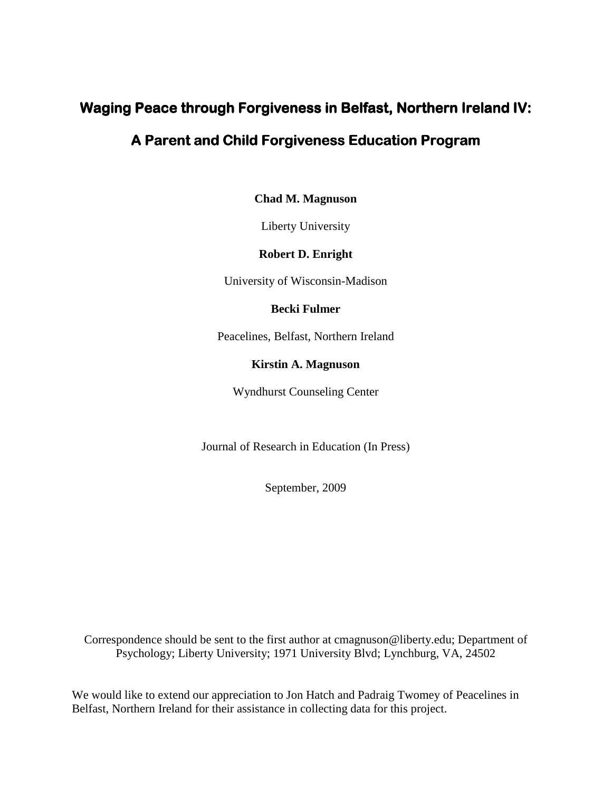# **Waging Peace through Forgiveness in Belfast, Northern Ireland IV:**

# **A Parent and Child Forgiveness Education Program**

**Chad M. Magnuson** 

Liberty University

# **Robert D. Enright**

University of Wisconsin-Madison

# **Becki Fulmer**

Peacelines, Belfast, Northern Ireland

# **Kirstin A. Magnuson**

Wyndhurst Counseling Center

Journal of Research in Education (In Press)

September, 2009

Correspondence should be sent to the first author at cmagnuson@liberty.edu; Department of Psychology; Liberty University; 1971 University Blvd; Lynchburg, VA, 24502

We would like to extend our appreciation to Jon Hatch and Padraig Twomey of Peacelines in Belfast, Northern Ireland for their assistance in collecting data for this project.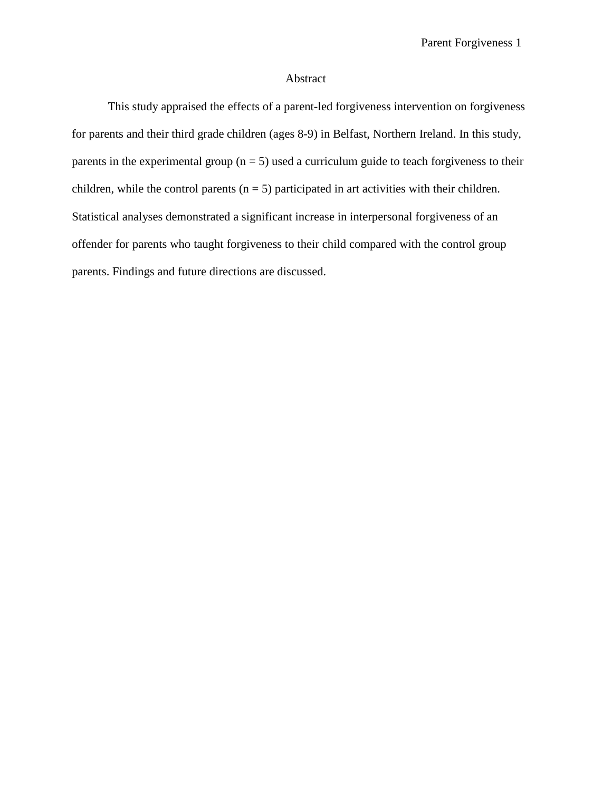# Abstract

 This study appraised the effects of a parent-led forgiveness intervention on forgiveness for parents and their third grade children (ages 8-9) in Belfast, Northern Ireland. In this study, parents in the experimental group ( $n = 5$ ) used a curriculum guide to teach forgiveness to their children, while the control parents  $(n = 5)$  participated in art activities with their children. Statistical analyses demonstrated a significant increase in interpersonal forgiveness of an offender for parents who taught forgiveness to their child compared with the control group parents. Findings and future directions are discussed.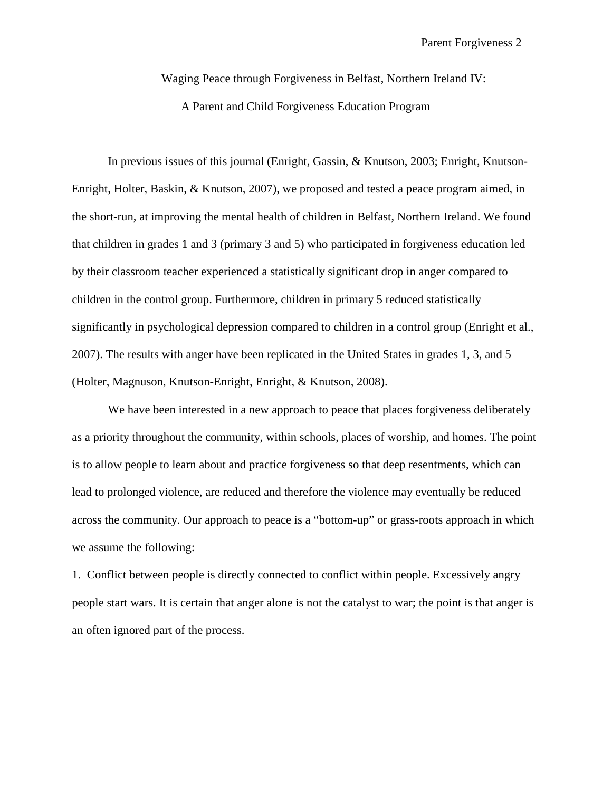Waging Peace through Forgiveness in Belfast, Northern Ireland IV: A Parent and Child Forgiveness Education Program

In previous issues of this journal (Enright, Gassin, & Knutson, 2003; Enright, Knutson-Enright, Holter, Baskin, & Knutson, 2007), we proposed and tested a peace program aimed, in the short-run, at improving the mental health of children in Belfast, Northern Ireland. We found that children in grades 1 and 3 (primary 3 and 5) who participated in forgiveness education led by their classroom teacher experienced a statistically significant drop in anger compared to children in the control group. Furthermore, children in primary 5 reduced statistically significantly in psychological depression compared to children in a control group (Enright et al., 2007). The results with anger have been replicated in the United States in grades 1, 3, and 5 (Holter, Magnuson, Knutson-Enright, Enright, & Knutson, 2008).

We have been interested in a new approach to peace that places forgiveness deliberately as a priority throughout the community, within schools, places of worship, and homes. The point is to allow people to learn about and practice forgiveness so that deep resentments, which can lead to prolonged violence, are reduced and therefore the violence may eventually be reduced across the community. Our approach to peace is a "bottom-up" or grass-roots approach in which we assume the following:

1. Conflict between people is directly connected to conflict within people. Excessively angry people start wars. It is certain that anger alone is not the catalyst to war; the point is that anger is an often ignored part of the process.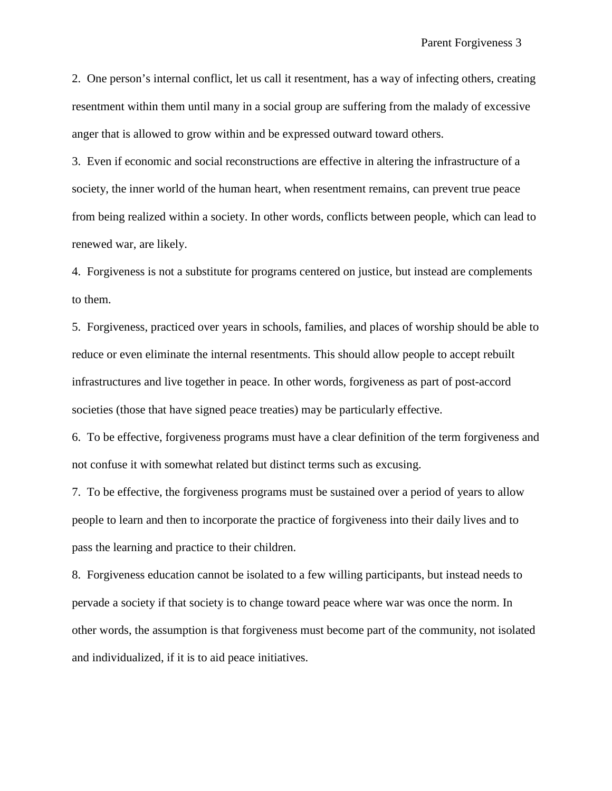2. One person's internal conflict, let us call it resentment, has a way of infecting others, creating resentment within them until many in a social group are suffering from the malady of excessive anger that is allowed to grow within and be expressed outward toward others.

3. Even if economic and social reconstructions are effective in altering the infrastructure of a society, the inner world of the human heart, when resentment remains, can prevent true peace from being realized within a society. In other words, conflicts between people, which can lead to renewed war, are likely.

4. Forgiveness is not a substitute for programs centered on justice, but instead are complements to them.

5. Forgiveness, practiced over years in schools, families, and places of worship should be able to reduce or even eliminate the internal resentments. This should allow people to accept rebuilt infrastructures and live together in peace. In other words, forgiveness as part of post-accord societies (those that have signed peace treaties) may be particularly effective.

6. To be effective, forgiveness programs must have a clear definition of the term forgiveness and not confuse it with somewhat related but distinct terms such as excusing.

7. To be effective, the forgiveness programs must be sustained over a period of years to allow people to learn and then to incorporate the practice of forgiveness into their daily lives and to pass the learning and practice to their children.

8. Forgiveness education cannot be isolated to a few willing participants, but instead needs to pervade a society if that society is to change toward peace where war was once the norm. In other words, the assumption is that forgiveness must become part of the community, not isolated and individualized, if it is to aid peace initiatives.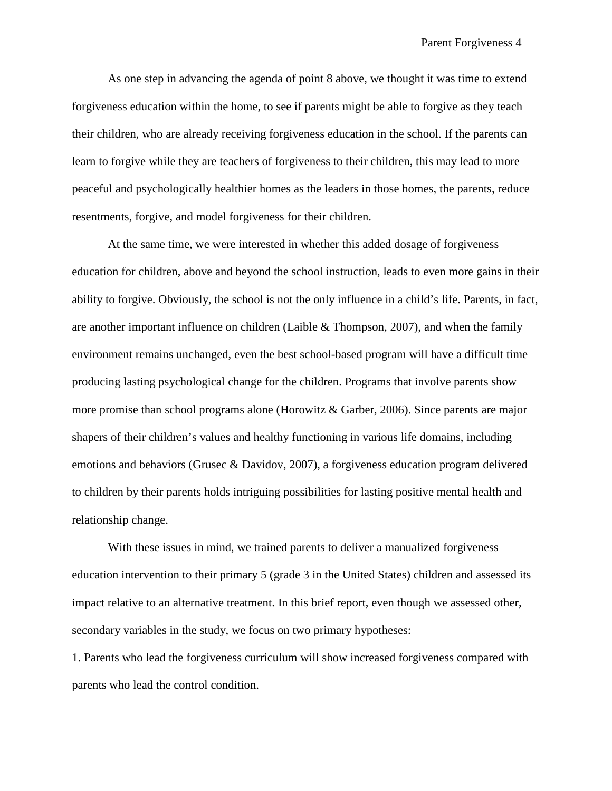As one step in advancing the agenda of point 8 above, we thought it was time to extend forgiveness education within the home, to see if parents might be able to forgive as they teach their children, who are already receiving forgiveness education in the school. If the parents can learn to forgive while they are teachers of forgiveness to their children, this may lead to more peaceful and psychologically healthier homes as the leaders in those homes, the parents, reduce resentments, forgive, and model forgiveness for their children.

At the same time, we were interested in whether this added dosage of forgiveness education for children, above and beyond the school instruction, leads to even more gains in their ability to forgive. Obviously, the school is not the only influence in a child's life. Parents, in fact, are another important influence on children (Laible & Thompson, 2007), and when the family environment remains unchanged, even the best school-based program will have a difficult time producing lasting psychological change for the children. Programs that involve parents show more promise than school programs alone (Horowitz & Garber, 2006). Since parents are major shapers of their children's values and healthy functioning in various life domains, including emotions and behaviors (Grusec & Davidov, 2007), a forgiveness education program delivered to children by their parents holds intriguing possibilities for lasting positive mental health and relationship change.

With these issues in mind, we trained parents to deliver a manualized forgiveness education intervention to their primary 5 (grade 3 in the United States) children and assessed its impact relative to an alternative treatment. In this brief report, even though we assessed other, secondary variables in the study, we focus on two primary hypotheses:

1. Parents who lead the forgiveness curriculum will show increased forgiveness compared with parents who lead the control condition.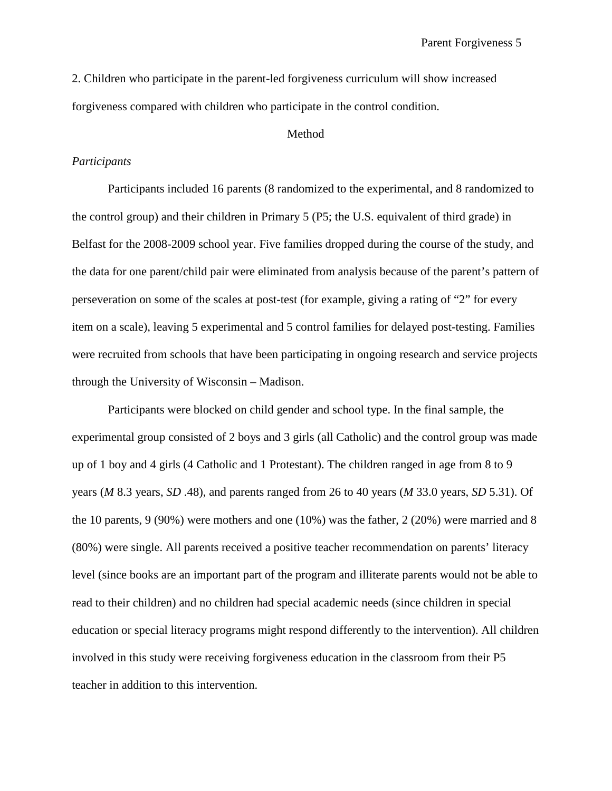2. Children who participate in the parent-led forgiveness curriculum will show increased forgiveness compared with children who participate in the control condition.

# Method

#### *Participants*

 Participants included 16 parents (8 randomized to the experimental, and 8 randomized to the control group) and their children in Primary 5 (P5; the U.S. equivalent of third grade) in Belfast for the 2008-2009 school year. Five families dropped during the course of the study, and the data for one parent/child pair were eliminated from analysis because of the parent's pattern of perseveration on some of the scales at post-test (for example, giving a rating of "2" for every item on a scale), leaving 5 experimental and 5 control families for delayed post-testing. Families were recruited from schools that have been participating in ongoing research and service projects through the University of Wisconsin – Madison.

Participants were blocked on child gender and school type. In the final sample, the experimental group consisted of 2 boys and 3 girls (all Catholic) and the control group was made up of 1 boy and 4 girls (4 Catholic and 1 Protestant). The children ranged in age from 8 to 9 years (*M* 8.3 years, *SD* .48), and parents ranged from 26 to 40 years (*M* 33.0 years, *SD* 5.31). Of the 10 parents, 9 (90%) were mothers and one (10%) was the father, 2 (20%) were married and 8 (80%) were single. All parents received a positive teacher recommendation on parents' literacy level (since books are an important part of the program and illiterate parents would not be able to read to their children) and no children had special academic needs (since children in special education or special literacy programs might respond differently to the intervention). All children involved in this study were receiving forgiveness education in the classroom from their P5 teacher in addition to this intervention.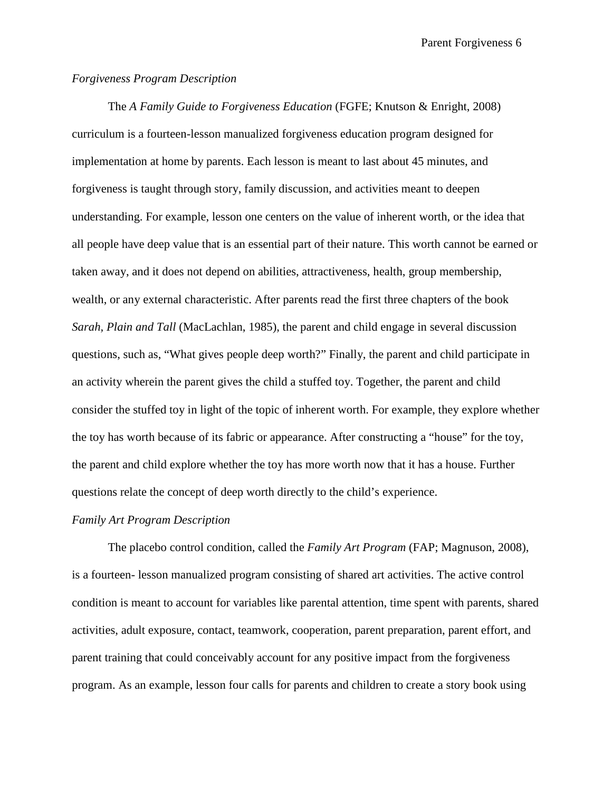# *Forgiveness Program Description*

 The *A Family Guide to Forgiveness Education* (FGFE; Knutson & Enright, 2008) curriculum is a fourteen-lesson manualized forgiveness education program designed for implementation at home by parents. Each lesson is meant to last about 45 minutes, and forgiveness is taught through story, family discussion, and activities meant to deepen understanding. For example, lesson one centers on the value of inherent worth, or the idea that all people have deep value that is an essential part of their nature. This worth cannot be earned or taken away, and it does not depend on abilities, attractiveness, health, group membership, wealth, or any external characteristic. After parents read the first three chapters of the book *Sarah, Plain and Tall* (MacLachlan, 1985), the parent and child engage in several discussion questions, such as, "What gives people deep worth?" Finally, the parent and child participate in an activity wherein the parent gives the child a stuffed toy. Together, the parent and child consider the stuffed toy in light of the topic of inherent worth. For example, they explore whether the toy has worth because of its fabric or appearance. After constructing a "house" for the toy, the parent and child explore whether the toy has more worth now that it has a house. Further questions relate the concept of deep worth directly to the child's experience.

#### *Family Art Program Description*

 The placebo control condition, called the *Family Art Program* (FAP; Magnuson, 2008), is a fourteen- lesson manualized program consisting of shared art activities. The active control condition is meant to account for variables like parental attention, time spent with parents, shared activities, adult exposure, contact, teamwork, cooperation, parent preparation, parent effort, and parent training that could conceivably account for any positive impact from the forgiveness program. As an example, lesson four calls for parents and children to create a story book using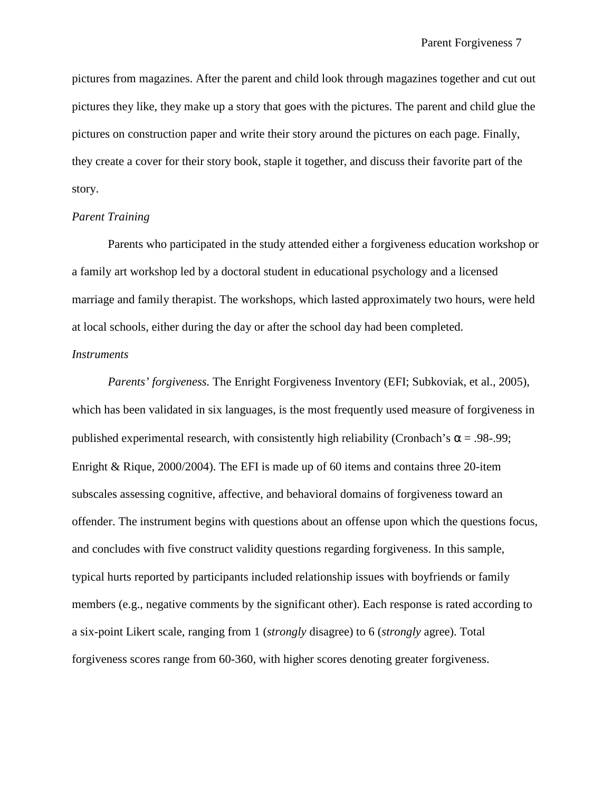pictures from magazines. After the parent and child look through magazines together and cut out pictures they like, they make up a story that goes with the pictures. The parent and child glue the pictures on construction paper and write their story around the pictures on each page. Finally, they create a cover for their story book, staple it together, and discuss their favorite part of the story.

## *Parent Training*

Parents who participated in the study attended either a forgiveness education workshop or a family art workshop led by a doctoral student in educational psychology and a licensed marriage and family therapist. The workshops, which lasted approximately two hours, were held at local schools, either during the day or after the school day had been completed. *Instruments*

*Parents' forgiveness.* The Enright Forgiveness Inventory (EFI; Subkoviak, et al., 2005), which has been validated in six languages, is the most frequently used measure of forgiveness in published experimental research, with consistently high reliability (Cronbach's α = .98-.99; Enright & Rique, 2000/2004). The EFI is made up of 60 items and contains three 20-item subscales assessing cognitive, affective, and behavioral domains of forgiveness toward an offender. The instrument begins with questions about an offense upon which the questions focus, and concludes with five construct validity questions regarding forgiveness. In this sample, typical hurts reported by participants included relationship issues with boyfriends or family members (e.g., negative comments by the significant other). Each response is rated according to a six-point Likert scale, ranging from 1 (*strongly* disagree) to 6 (*strongly* agree). Total forgiveness scores range from 60-360, with higher scores denoting greater forgiveness.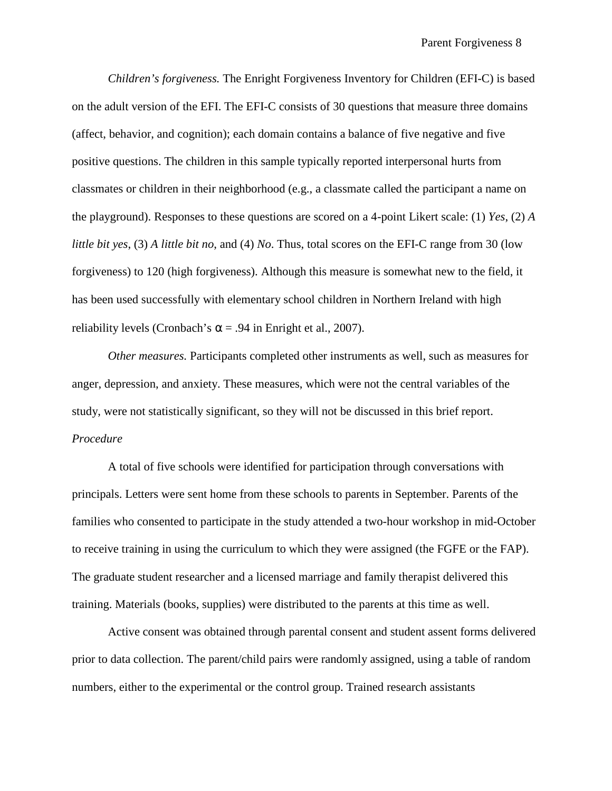*Children's forgiveness.* The Enright Forgiveness Inventory for Children (EFI-C) is based on the adult version of the EFI. The EFI-C consists of 30 questions that measure three domains (affect, behavior, and cognition); each domain contains a balance of five negative and five positive questions. The children in this sample typically reported interpersonal hurts from classmates or children in their neighborhood (e.g., a classmate called the participant a name on the playground). Responses to these questions are scored on a 4-point Likert scale: (1) *Yes*, (2) *A little bit yes*, (3) *A little bit no*, and (4) *No*. Thus, total scores on the EFI-C range from 30 (low forgiveness) to 120 (high forgiveness). Although this measure is somewhat new to the field, it has been used successfully with elementary school children in Northern Ireland with high reliability levels (Cronbach's  $\alpha$  = .94 in Enright et al., 2007).

*Other measures.* Participants completed other instruments as well, such as measures for anger, depression, and anxiety. These measures, which were not the central variables of the study, were not statistically significant, so they will not be discussed in this brief report. *Procedure*

 A total of five schools were identified for participation through conversations with principals. Letters were sent home from these schools to parents in September. Parents of the families who consented to participate in the study attended a two-hour workshop in mid-October to receive training in using the curriculum to which they were assigned (the FGFE or the FAP). The graduate student researcher and a licensed marriage and family therapist delivered this training. Materials (books, supplies) were distributed to the parents at this time as well.

Active consent was obtained through parental consent and student assent forms delivered prior to data collection. The parent/child pairs were randomly assigned, using a table of random numbers, either to the experimental or the control group. Trained research assistants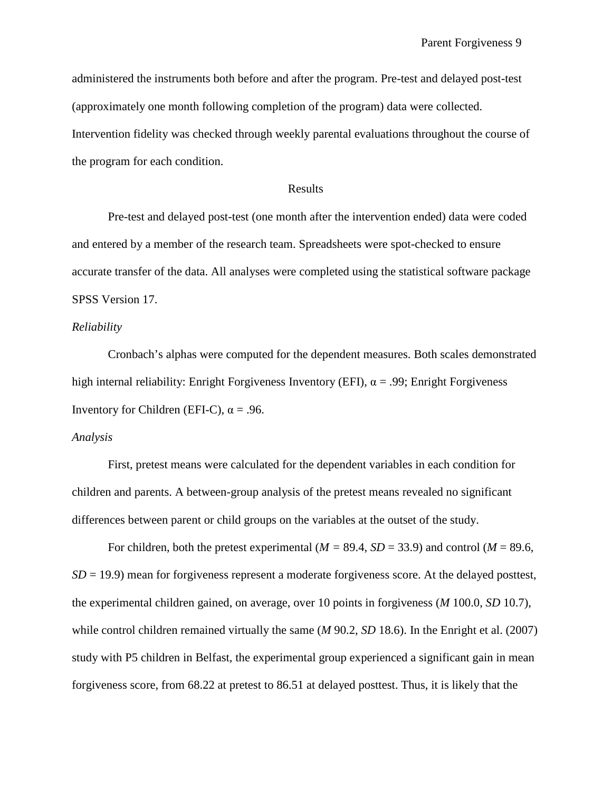administered the instruments both before and after the program. Pre-test and delayed post-test (approximately one month following completion of the program) data were collected. Intervention fidelity was checked through weekly parental evaluations throughout the course of the program for each condition.

## Results

 Pre-test and delayed post-test (one month after the intervention ended) data were coded and entered by a member of the research team. Spreadsheets were spot-checked to ensure accurate transfer of the data. All analyses were completed using the statistical software package SPSS Version 17.

#### *Reliability*

 Cronbach's alphas were computed for the dependent measures. Both scales demonstrated high internal reliability: Enright Forgiveness Inventory (EFI),  $\alpha = .99$ ; Enright Forgiveness Inventory for Children (EFI-C),  $\alpha = .96$ .

## *Analysis*

 First, pretest means were calculated for the dependent variables in each condition for children and parents. A between-group analysis of the pretest means revealed no significant differences between parent or child groups on the variables at the outset of the study.

For children, both the pretest experimental  $(M = 89.4, SD = 33.9)$  and control  $(M = 89.6,$  $SD = 19.9$ ) mean for forgiveness represent a moderate forgiveness score. At the delayed posttest, the experimental children gained, on average, over 10 points in forgiveness (*M* 100.0, *SD* 10.7), while control children remained virtually the same (*M* 90.2, *SD* 18.6). In the Enright et al. (2007) study with P5 children in Belfast, the experimental group experienced a significant gain in mean forgiveness score, from 68.22 at pretest to 86.51 at delayed posttest. Thus, it is likely that the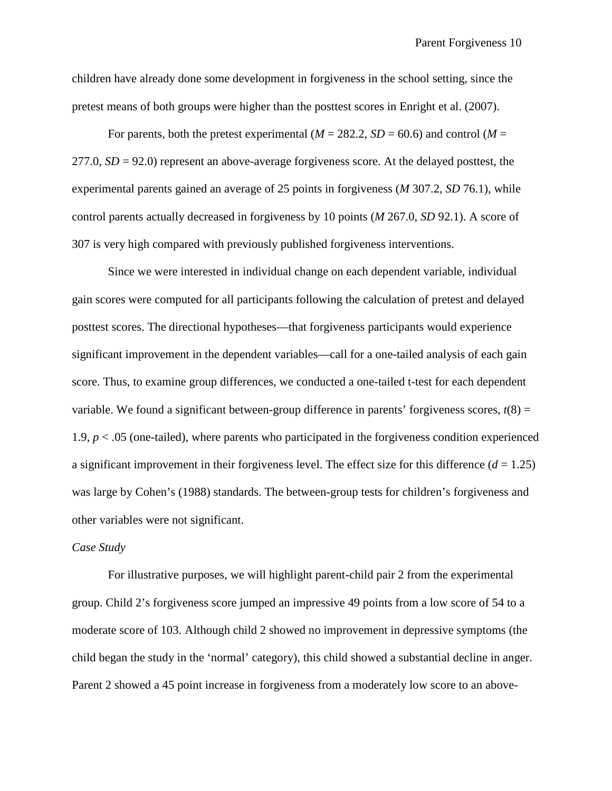children have already done some development in forgiveness in the school setting, since the pretest means of both groups were higher than the posttest scores in Enright et al. (2007).

For parents, both the pretest experimental ( $M = 282.2$ ,  $SD = 60.6$ ) and control ( $M =$ 277.0, *SD* = 92.0) represent an above-average forgiveness score. At the delayed posttest, the experimental parents gained an average of 25 points in forgiveness (*M* 307.2, *SD* 76.1), while control parents actually decreased in forgiveness by 10 points (*M* 267.0, *SD* 92.1). A score of 307 is very high compared with previously published forgiveness interventions.

 Since we were interested in individual change on each dependent variable, individual gain scores were computed for all participants following the calculation of pretest and delayed posttest scores. The directional hypotheses—that forgiveness participants would experience significant improvement in the dependent variables—call for a one-tailed analysis of each gain score. Thus, to examine group differences, we conducted a one-tailed t-test for each dependent variable. We found a significant between-group difference in parents' forgiveness scores,  $t(8)$  = 1.9,  $p < .05$  (one-tailed), where parents who participated in the forgiveness condition experienced a significant improvement in their forgiveness level. The effect size for this difference  $(d = 1.25)$ was large by Cohen's (1988) standards. The between-group tests for children's forgiveness and other variables were not significant.

## *Case Study*

 For illustrative purposes, we will highlight parent-child pair 2 from the experimental group. Child 2's forgiveness score jumped an impressive 49 points from a low score of 54 to a moderate score of 103. Although child 2 showed no improvement in depressive symptoms (the child began the study in the 'normal' category), this child showed a substantial decline in anger. Parent 2 showed a 45 point increase in forgiveness from a moderately low score to an above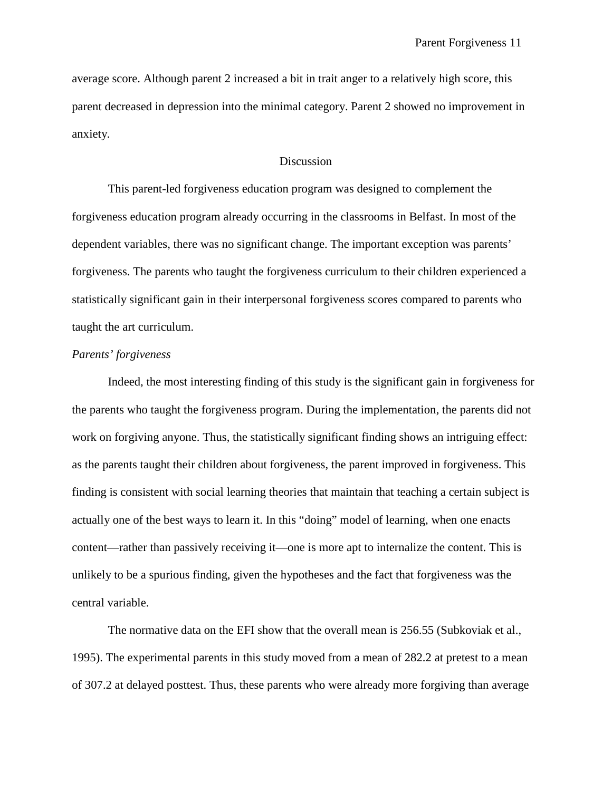average score. Although parent 2 increased a bit in trait anger to a relatively high score, this parent decreased in depression into the minimal category. Parent 2 showed no improvement in anxiety.

# Discussion

 This parent-led forgiveness education program was designed to complement the forgiveness education program already occurring in the classrooms in Belfast. In most of the dependent variables, there was no significant change. The important exception was parents' forgiveness. The parents who taught the forgiveness curriculum to their children experienced a statistically significant gain in their interpersonal forgiveness scores compared to parents who taught the art curriculum.

### *Parents' forgiveness*

 Indeed, the most interesting finding of this study is the significant gain in forgiveness for the parents who taught the forgiveness program. During the implementation, the parents did not work on forgiving anyone. Thus, the statistically significant finding shows an intriguing effect: as the parents taught their children about forgiveness, the parent improved in forgiveness. This finding is consistent with social learning theories that maintain that teaching a certain subject is actually one of the best ways to learn it. In this "doing" model of learning, when one enacts content—rather than passively receiving it—one is more apt to internalize the content. This is unlikely to be a spurious finding, given the hypotheses and the fact that forgiveness was the central variable.

 The normative data on the EFI show that the overall mean is 256.55 (Subkoviak et al., 1995). The experimental parents in this study moved from a mean of 282.2 at pretest to a mean of 307.2 at delayed posttest. Thus, these parents who were already more forgiving than average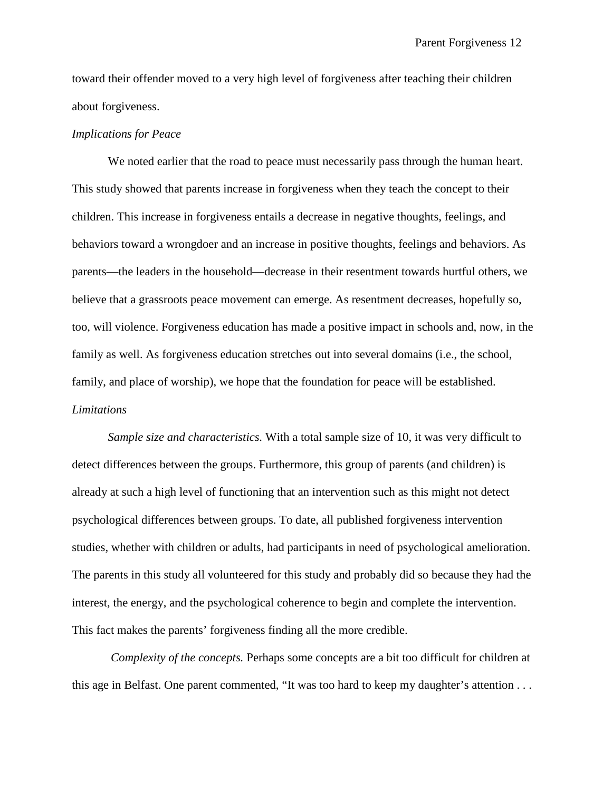toward their offender moved to a very high level of forgiveness after teaching their children about forgiveness.

### *Implications for Peace*

We noted earlier that the road to peace must necessarily pass through the human heart. This study showed that parents increase in forgiveness when they teach the concept to their children. This increase in forgiveness entails a decrease in negative thoughts, feelings, and behaviors toward a wrongdoer and an increase in positive thoughts, feelings and behaviors. As parents—the leaders in the household—decrease in their resentment towards hurtful others, we believe that a grassroots peace movement can emerge. As resentment decreases, hopefully so, too, will violence. Forgiveness education has made a positive impact in schools and, now, in the family as well. As forgiveness education stretches out into several domains (i.e., the school, family, and place of worship), we hope that the foundation for peace will be established. *Limitations* 

*Sample size and characteristics.* With a total sample size of 10, it was very difficult to detect differences between the groups. Furthermore, this group of parents (and children) is already at such a high level of functioning that an intervention such as this might not detect psychological differences between groups. To date, all published forgiveness intervention studies, whether with children or adults, had participants in need of psychological amelioration. The parents in this study all volunteered for this study and probably did so because they had the interest, the energy, and the psychological coherence to begin and complete the intervention. This fact makes the parents' forgiveness finding all the more credible.

 *Complexity of the concepts.* Perhaps some concepts are a bit too difficult for children at this age in Belfast. One parent commented, "It was too hard to keep my daughter's attention . . .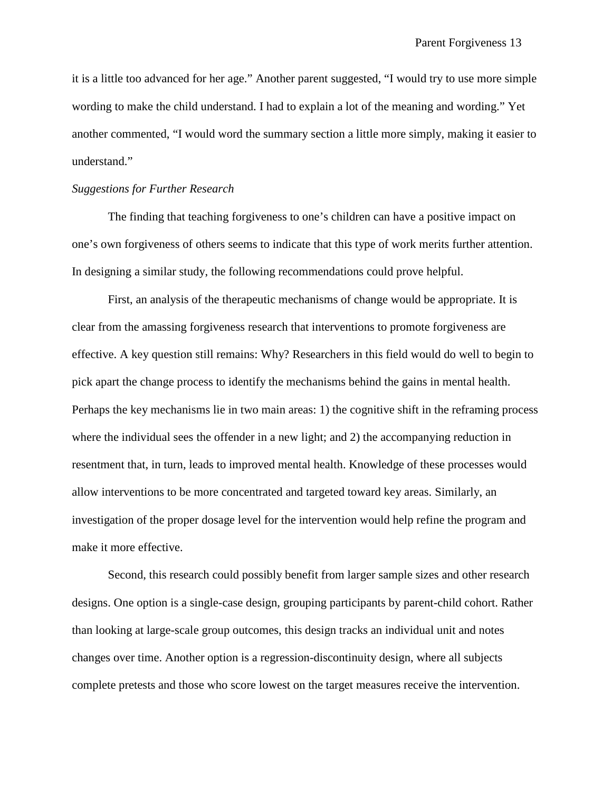it is a little too advanced for her age." Another parent suggested, "I would try to use more simple wording to make the child understand. I had to explain a lot of the meaning and wording." Yet another commented, "I would word the summary section a little more simply, making it easier to understand."

#### *Suggestions for Further Research*

 The finding that teaching forgiveness to one's children can have a positive impact on one's own forgiveness of others seems to indicate that this type of work merits further attention. In designing a similar study, the following recommendations could prove helpful.

 First, an analysis of the therapeutic mechanisms of change would be appropriate. It is clear from the amassing forgiveness research that interventions to promote forgiveness are effective. A key question still remains: Why? Researchers in this field would do well to begin to pick apart the change process to identify the mechanisms behind the gains in mental health. Perhaps the key mechanisms lie in two main areas: 1) the cognitive shift in the reframing process where the individual sees the offender in a new light; and 2) the accompanying reduction in resentment that, in turn, leads to improved mental health. Knowledge of these processes would allow interventions to be more concentrated and targeted toward key areas. Similarly, an investigation of the proper dosage level for the intervention would help refine the program and make it more effective.

Second, this research could possibly benefit from larger sample sizes and other research designs. One option is a single-case design, grouping participants by parent-child cohort. Rather than looking at large-scale group outcomes, this design tracks an individual unit and notes changes over time. Another option is a regression-discontinuity design, where all subjects complete pretests and those who score lowest on the target measures receive the intervention.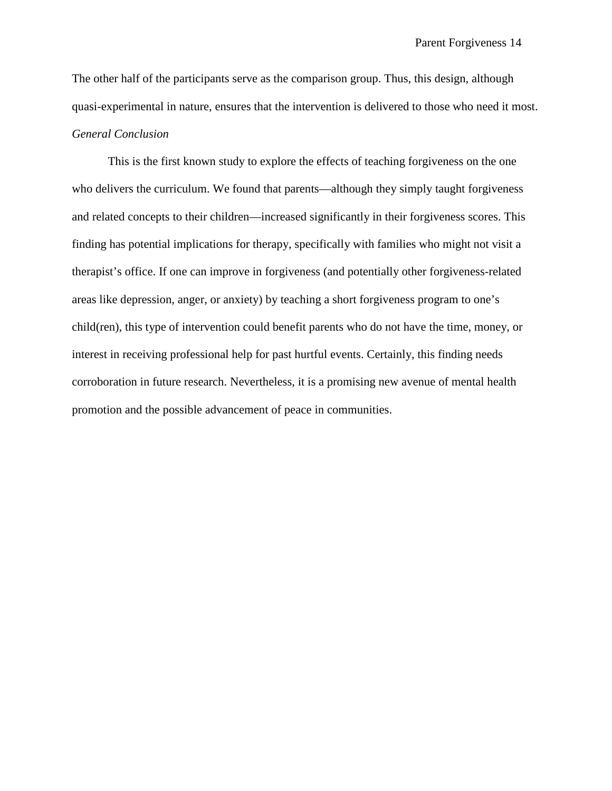The other half of the participants serve as the comparison group. Thus, this design, although quasi-experimental in nature, ensures that the intervention is delivered to those who need it most. *General Conclusion* 

 This is the first known study to explore the effects of teaching forgiveness on the one who delivers the curriculum. We found that parents—although they simply taught forgiveness and related concepts to their children—increased significantly in their forgiveness scores. This finding has potential implications for therapy, specifically with families who might not visit a therapist's office. If one can improve in forgiveness (and potentially other forgiveness-related areas like depression, anger, or anxiety) by teaching a short forgiveness program to one's child(ren), this type of intervention could benefit parents who do not have the time, money, or interest in receiving professional help for past hurtful events. Certainly, this finding needs corroboration in future research. Nevertheless, it is a promising new avenue of mental health promotion and the possible advancement of peace in communities.